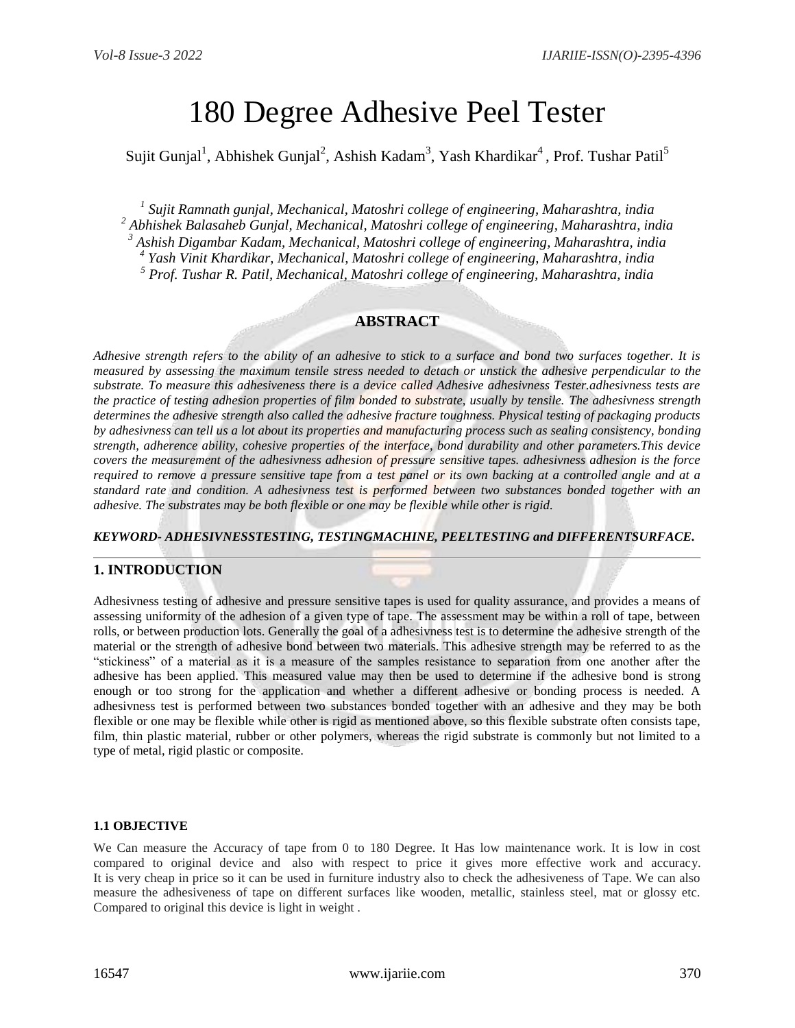# 180 Degree Adhesive Peel Tester

Sujit Gunjal<sup>1</sup>, Abhishek Gunjal<sup>2</sup>, Ashish Kadam<sup>3</sup>, Yash Khardikar<sup>4</sup>, Prof. Tushar Patil<sup>5</sup>

 *Sujit Ramnath gunjal, Mechanical, Matoshri college of engineering, Maharashtra, india Abhishek Balasaheb Gunjal, Mechanical, Matoshri college of engineering, Maharashtra, india Ashish Digambar Kadam, Mechanical, Matoshri college of engineering, Maharashtra, india Yash Vinit Khardikar, Mechanical, Matoshri college of engineering, Maharashtra, india Prof. Tushar R. Patil, Mechanical, Matoshri college of engineering, Maharashtra, india*

# **ABSTRACT**

*Adhesive strength refers to the ability of an adhesive to stick to a surface and bond two surfaces together. It is measured by assessing the maximum tensile stress needed to detach or unstick the adhesive perpendicular to the substrate. To measure this adhesiveness there is a device called Adhesive adhesivness Tester.adhesivness tests are the practice of testing adhesion properties of film bonded to substrate, usually by tensile. The adhesivness strength determines the adhesive strength also called the adhesive fracture toughness. Physical testing of packaging products by adhesivness can tell us a lot about its properties and manufacturing process such as sealing consistency, bonding strength, adherence ability, cohesive properties of the interface, bond durability and other parameters.This device covers the measurement of the adhesivness adhesion of pressure sensitive tapes. adhesivness adhesion is the force required to remove a pressure sensitive tape from a test panel or its own backing at a controlled angle and at a standard rate and condition. A adhesivness test is performed between two substances bonded together with an adhesive. The substrates may be both flexible or one may be flexible while other is rigid.*

*KEYWORD- ADHESIVNESSTESTING, TESTINGMACHINE, PEELTESTING and DIFFERENTSURFACE.*

## **1. INTRODUCTION**

Adhesivness testing of adhesive and pressure sensitive tapes is used for quality assurance, and provides a means of assessing uniformity of the adhesion of a given type of tape. The assessment may be within a roll of tape, between rolls, or between production lots. Generally the goal of a adhesivness test is to determine the adhesive strength of the material or the strength of adhesive bond between two materials. This adhesive strength may be referred to as the "stickiness" of a material as it is a measure of the samples resistance to separation from one another after the adhesive has been applied. This measured value may then be used to determine if the adhesive bond is strong enough or too strong for the application and whether a different adhesive or bonding process is needed. A adhesivness test is performed between two substances bonded together with an adhesive and they may be both flexible or one may be flexible while other is rigid as mentioned above, so this flexible substrate often consists tape, film, thin plastic material, rubber or other polymers, whereas the rigid substrate is commonly but not limited to a type of metal, rigid plastic or composite.

### **1.1 OBJECTIVE**

We Can measure the Accuracy of tape from 0 to 180 Degree. It Has low maintenance work. It is low in cost compared to original device and also with respect to price it gives more effective work and accuracy. It is very cheap in price so it can be used in furniture industry also to check the adhesiveness of Tape. We can also measure the adhesiveness of tape on different surfaces like wooden, metallic, stainless steel, mat or glossy etc. Compared to original this device is light in weight .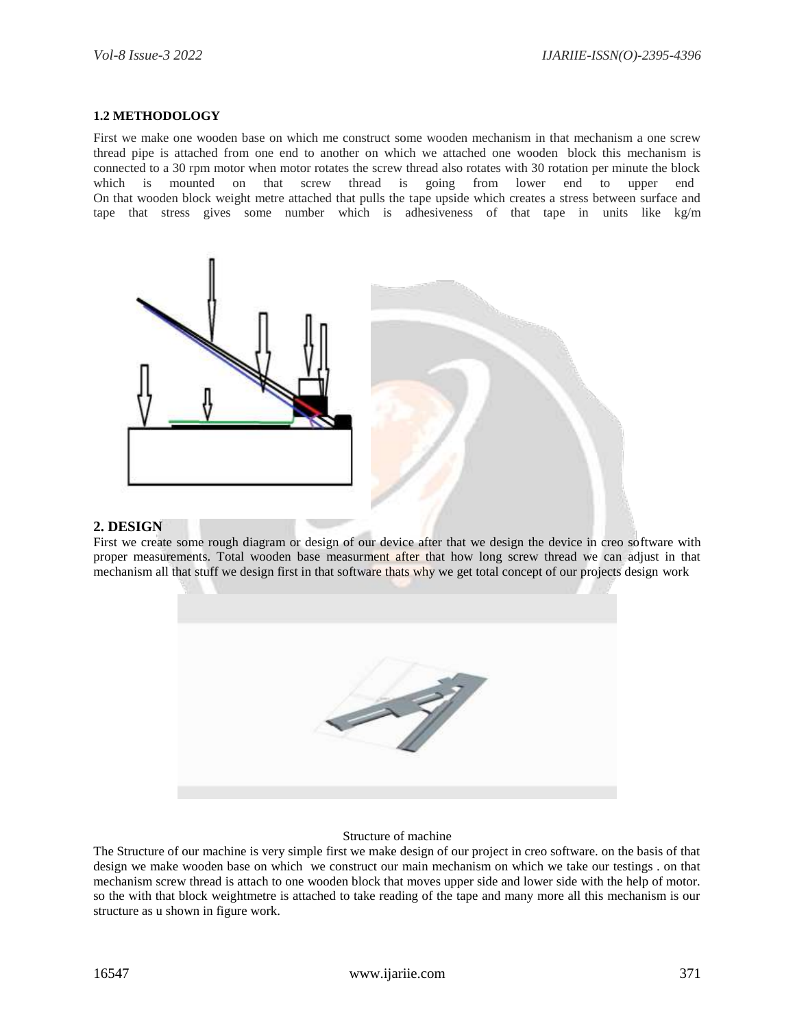#### **1.2 METHODOLOGY**

First we make one wooden base on which me construct some wooden mechanism in that mechanism a one screw thread pipe is attached from one end to another on which we attached one wooden block this mechanism is connected to a 30 rpm motor when motor rotates the screw thread also rotates with 30 rotation per minute the block which is mounted on that screw thread is going from lower end to upper end On that wooden block weight metre attached that pulls the tape upside which creates a stress between surface and tape that stress gives some number which is adhesiveness of that tape in units like kg/m



#### **2. DESIGN**

First we create some rough diagram or design of our device after that we design the device in creo software with proper measurements. Total wooden base measurment after that how long screw thread we can adjust in that mechanism all that stuff we design first in that software thats why we get total concept of our projects design work



#### Structure of machine

The Structure of our machine is very simple first we make design of our project in creo software. on the basis of that design we make wooden base on which we construct our main mechanism on which we take our testings . on that mechanism screw thread is attach to one wooden block that moves upper side and lower side with the help of motor. so the with that block weightmetre is attached to take reading of the tape and many more all this mechanism is our structure as u shown in figure work.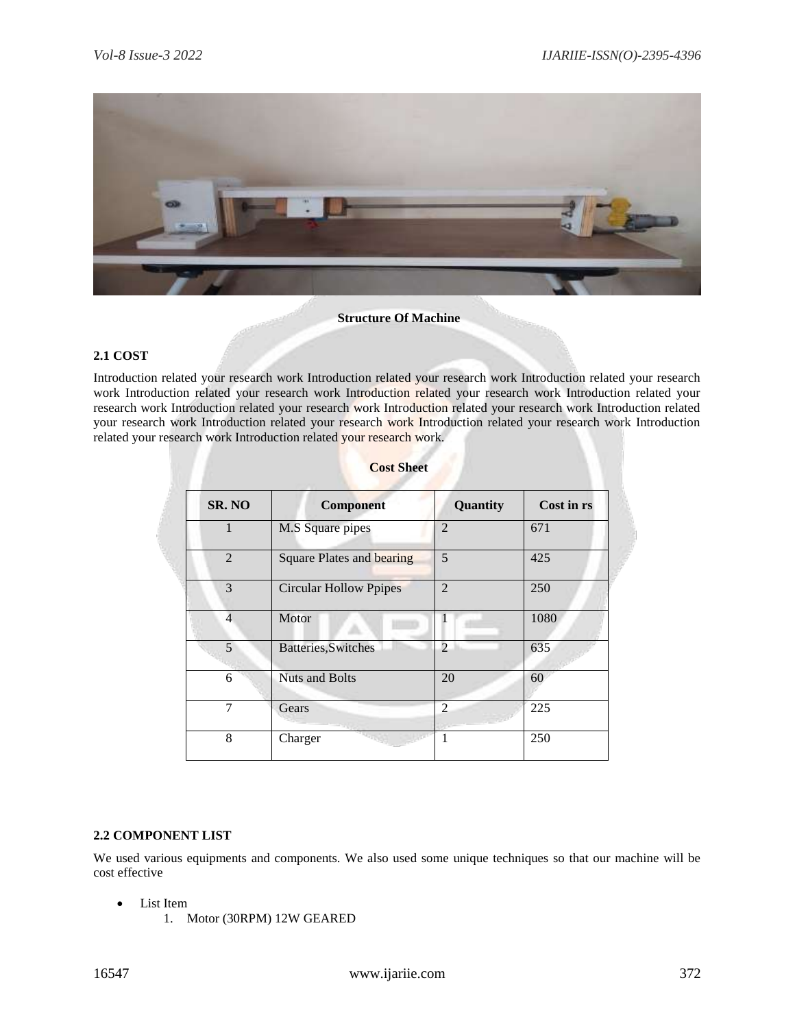

#### **Structure Of Machine**

### **2.1 COST**

Introduction related your research work Introduction related your research work Introduction related your research work Introduction related your research work Introduction related your research work Introduction related your research work Introduction related your research work Introduction related your research work Introduction related your research work Introduction related your research work Introduction related your research work Introduction related your research work Introduction related your research work.

| SR. NO         | <b>Component</b>                 | Quantity                 | Cost in rs |
|----------------|----------------------------------|--------------------------|------------|
|                | M.S Square pipes                 | $\overline{2}$           | 671        |
| $\mathfrak{D}$ | <b>Square Plates and bearing</b> | 5                        | 425        |
| 3              | <b>Circular Hollow Ppipes</b>    | $\overline{2}$           | 250        |
| 4              | Motor                            |                          | 1080       |
| 5              | Batteries, Switches              | $\overline{\mathcal{L}}$ | 635        |
| 6              | <b>Nuts and Bolts</b>            | 20                       | 60         |
| 7              | Gears                            | $\overline{2}$           | 225        |
| 8              | Charger                          |                          | 250        |

# **Cost Sheet**

## **2.2 COMPONENT LIST**

We used various equipments and components. We also used some unique techniques so that our machine will be cost effective

- List Item
	- 1. Motor (30RPM) 12W GEARED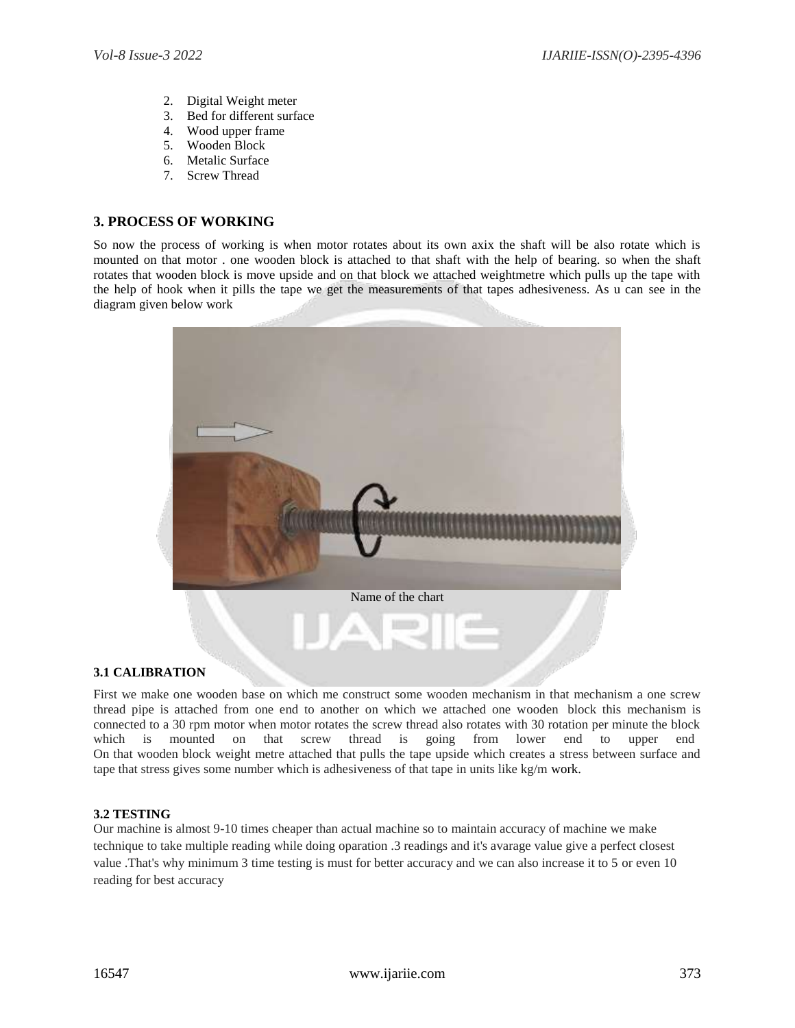- 2. Digital Weight meter
- 3. Bed for different surface
- 4. Wood upper frame
- 5. Wooden Block
- 6. Metalic Surface
- 7. Screw Thread

# **3. PROCESS OF WORKING**

So now the process of working is when motor rotates about its own axix the shaft will be also rotate which is mounted on that motor . one wooden block is attached to that shaft with the help of bearing. so when the shaft rotates that wooden block is move upside and on that block we attached weightmetre which pulls up the tape with the help of hook when it pills the tape we get the measurements of that tapes adhesiveness. As u can see in the diagram given below work



## **3.1 CALIBRATION**

First we make one wooden base on which me construct some wooden mechanism in that mechanism a one screw thread pipe is attached from one end to another on which we attached one wooden block this mechanism is connected to a 30 rpm motor when motor rotates the screw thread also rotates with 30 rotation per minute the block which is mounted on that screw thread is going from lower end to upper end On that wooden block weight metre attached that pulls the tape upside which creates a stress between surface and tape that stress gives some number which is adhesiveness of that tape in units like kg/m work.

# **3.2 TESTING**

Our machine is almost 9-10 times cheaper than actual machine so to maintain accuracy of machine we make technique to take multiple reading while doing oparation .3 readings and it's avarage value give a perfect closest value .That's why minimum 3 time testing is must for better accuracy and we can also increase it to 5 or even 10 reading for best accuracy